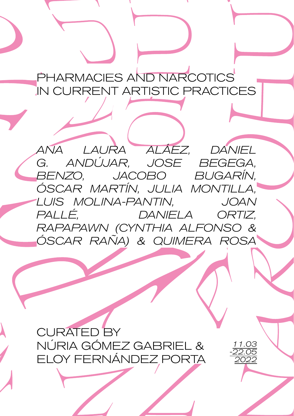PHARMACIES AND NARCOTICS IN CURRENT ARTISTIC PRACTICES

*ANA LAURA ALÁEZ, DANIEL G. ANDÚJAR, JOSE BEGEGA, BENZO, JACOBO BUGARÍN, ÓSCAR MARTÍN, JULIA MONTILLA, LUIS MOLINA-PANTIN, JOAN PALLÉ, DANIELA ORTIZ, RAPAPAWN (CYNTHIA ALFONSO & ÓSCAR RAÑA) & QUIMERA ROSA*

CURATED BY NÚRIA GÓMEZ GABRIEL & ELOY FERNÁNDEZ PORTA

*11.03 -22.05 2022*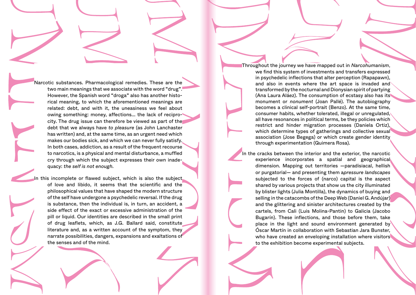Narcotic substances. Pharmacological remedies. These are the two main meanings that we associate with the word "drug". However, the Spanish word "droga" also has another historical meaning, to which the aforementioned meanings are related: debt, and with it, the uneasiness we feel about owing something: money, affections... the lack of reciprocity. The drug issue can therefore be viewed as part of the debt that we always have *to pleasure* (as John Lanchaster has written) and, at the same time, as an urgent need which makes our bodies sick, and which we can never fully satisfy. In both cases, addiction, as a result of the frequent recourse to narcotics, is a physical and mental disturbance, a muffled cry through which the subject expresses their own inadequacy: *the self is not enough.*

In this incomplete or flawed subject, which is also the subject of love and libido, it seems that the scientific and the philosophical values that have shaped the modern structure of the self have undergone a psychedelic reversal. If the drug is substance, then the individual is, in turn, an accident, a side effect of the exact or excessive administration of the pill or liquid. Our identities are described in the small print of drug leaflets, which, as J.G. Ballard said, constitute literature and, as a written account of the symptom, they narrate possibilities, dangers, expansions and exaltations of the senses and of the mind.

we find this system of investments and transfers expressed in psychedelic inflections that alter perception (Rapapawn), and also in events where the art space is invaded and transformed by the nocturnal and Dionysian spirit of partying (Ana Laura Aláez). The consumption of ecstasy also has its monument or *nonument* (Joan Pallé). The autobiography becomes a clinical self-portrait (Benzo). At the same time, consumer habits, whether tolerated, illegal or unregulated, all have resonances in political terms, be they policies which restrict and hinder migration processes (Daniela Ortiz), which determine types of gatherings and collective sexual association (Jose Begega) or which create gender identity through experimentation (Quimera Rosa). Throughout the journey we have mapped out in *Narcohumanism*,

In the cracks between the interior and the exterior, the narcotic experience incorporates a spatial and geographical dimension. Mapping out territories —paradisiacal, hellish or purgatorial— and presenting them a*pressure landscapes*  subjected to the forces of (narco) capital is the aspect shared by various projects that show us the city illuminated by blister lights (Julia Montilla), the dynamics of buying and selling in the catacombs of the Deep Web (Daniel G. Andújar) and the glittering and sinister architectures created by the cartels, from Cali (Luis Molina-Pantin) to Galicia (Jacobo Bugarín). These inflections, and those before them, take place in the light and sound environment generated by Óscar Martín in collaboration with Sebastian Jara Bunster, who have created an enveloping installation where visitors to the exhibition become experimental subjects.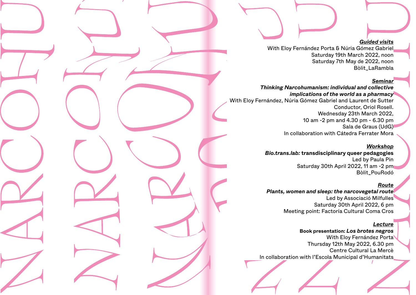#### *Guided visits*

With Eloy Fernández Porta & Núria Gómez Gabriel Saturday 19th March 2022, noon Saturday 7th May de 2022, noon Bòlit\_LaRambla

### *Seminar*

*Thinking Narcohumanism: individual and collective implications of the world as a pharmacy* With Eloy Fernández, Núria Gómez Gabriel and Laurent de Sutter Conductor, Oriol Rosell. Wednesday 23th March 2022, 10 am -2 pm and 4.30 pm - 6.30 pm Sala de Graus (UdG) In collaboration with Cátedra Ferrater Mora

### *Workshop*

*Bio.trans.lab:* **transdisciplinary queer pedagogies** Led by Paula Pin Saturday 30th April 2022, 11 am -2 pm Bòlit\_PouRodó

### *Route*

*Plants, women and sleep: the narcovegetal route* Led by Associació Milfulles Saturday 30th April 2022, 6 pm Meeting point: Factoría Cultural Coma Cros

# *Lecture*

**Book presentation:** *Los brotes negros* With Eloy Fernández Porta Thursday 12th May 2022, 6.30 pm Centre Cultural La Mercè In collaboration with l'Escola Municipal d'Humanitats